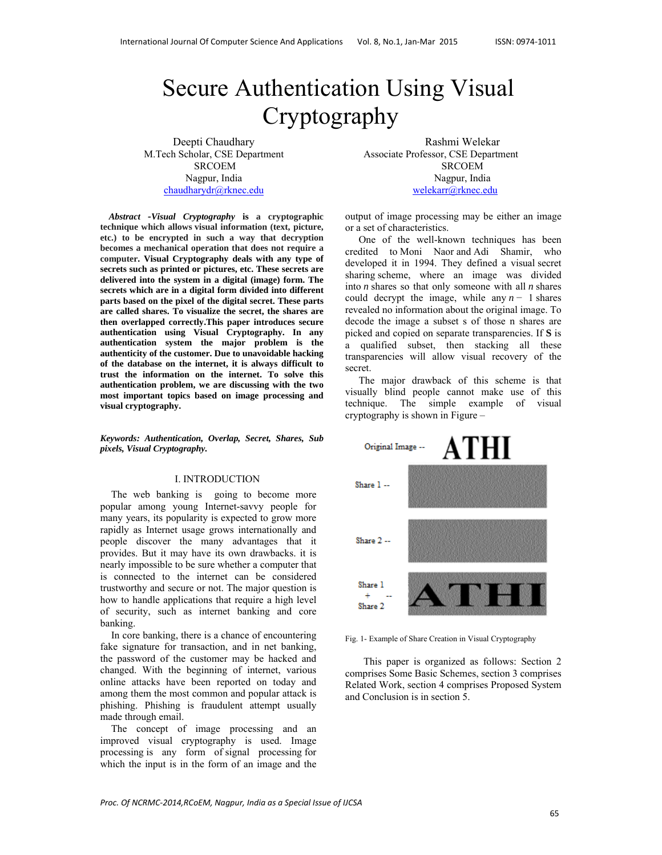# Secure Authentication Using Visual Cryptography

Deepti Chaudhary M.Tech Scholar, CSE Department SRCOEM Nagpur, India chaudharydr@rknec.edu

*Abstract -Visual Cryptography* **is a cryptographic technique which allows visual information (text, picture, etc.) to be encrypted in such a way that decryption becomes a mechanical operation that does not require a computer. Visual Cryptography deals with any type of secrets such as printed or pictures, etc. These secrets are delivered into the system in a digital (image) form. The secrets which are in a digital form divided into different parts based on the pixel of the digital secret. These parts are called shares. To visualize the secret, the shares are then overlapped correctly.This paper introduces secure authentication using Visual Cryptography. In any authentication system the major problem is the authenticity of the customer. Due to unavoidable hacking of the database on the internet, it is always difficult to trust the information on the internet. To solve this authentication problem, we are discussing with the two most important topics based on image processing and visual cryptography.** 

*Keywords: Authentication, Overlap, Secret, Shares, Sub pixels, Visual Cryptography.*

#### I. INTRODUCTION

The web banking is going to become more popular among young Internet-savvy people for many years, its popularity is expected to grow more rapidly as Internet usage grows internationally and people discover the many advantages that it provides. But it may have its own drawbacks. it is nearly impossible to be sure whether a computer that is connected to the internet can be considered trustworthy and secure or not. The major question is how to handle applications that require a high level of security, such as internet banking and core banking.

In core banking, there is a chance of encountering fake signature for transaction, and in net banking, the password of the customer may be hacked and changed. With the beginning of internet, various online attacks have been reported on today and among them the most common and popular attack is phishing. Phishing is fraudulent attempt usually made through email.

The concept of image processing and an improved visual cryptography is used. Image processing is any form of signal processing for which the input is in the form of an image and the

Rashmi Welekar Associate Professor, CSE Department SRCOEM Nagpur, India welekarr@rknec.edu

output of image processing may be either an image or a set of characteristics.

 One of the well-known techniques has been credited to Moni Naor and Adi Shamir, who developed it in 1994. They defined a visual secret sharing scheme, where an image was divided into *n* shares so that only someone with all *n* shares could decrypt the image, while any  $n - 1$  shares revealed no information about the original image. To decode the image a subset s of those n shares are picked and copied on separate transparencies. If **S** is a qualified subset, then stacking all these transparencies will allow visual recovery of the secret.

 The major drawback of this scheme is that visually blind people cannot make use of this technique. The simple example of visual cryptography is shown in Figure –



Fig. 1- Example of Share Creation in Visual Cryptography

This paper is organized as follows: Section 2 comprises Some Basic Schemes, section 3 comprises Related Work, section 4 comprises Proposed System and Conclusion is in section 5.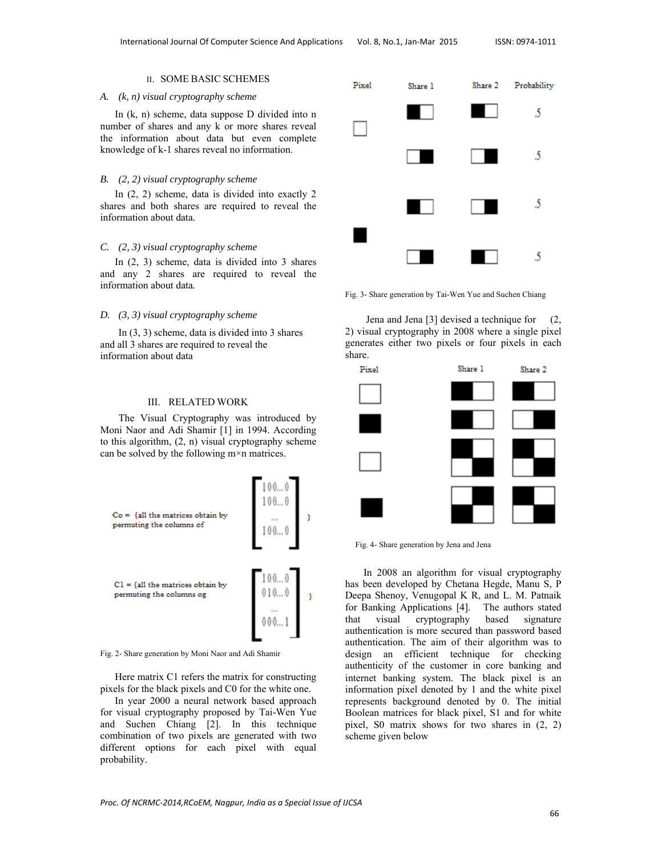## II. SOME BASIC SCHEMES

#### *A. (k, n) visual cryptography scheme*

In (k, n) scheme, data suppose D divided into n number of shares and any k or more shares reveal the information about data but even complete knowledge of k-1 shares reveal no information.

#### *B. (2, 2) visual cryptography scheme*

In (2, 2) scheme, data is divided into exactly 2 shares and both shares are required to reveal the information about data.

#### *C. (2, 3) visual cryptography scheme*

In (2, 3) scheme, data is divided into 3 shares and any 2 shares are required to reveal the information about data*.* 

#### *D. (3, 3) visual cryptography scheme*

In (3, 3) scheme, data is divided into 3 shares and all 3 shares are required to reveal the information about data

#### III. RELATED WORK

The Visual Cryptography was introduced by Moni Naor and Adi Shamir [1] in 1994. According to this algorithm, (2, n) visual cryptography scheme can be solved by the following m×n matrices.



Fig. 2- Share generation by Moni Naor and Adi Shamir

Here matrix C1 refers the matrix for constructing pixels for the black pixels and C0 for the white one.

In year 2000 a neural network based approach for visual cryptography proposed by Tai-Wen Yue and Suchen Chiang [2]. In this technique combination of two pixels are generated with two different options for each pixel with equal probability.



Fig. 3- Share generation by Tai-Wen Yue and Suchen Chiang

 Jena and Jena [3] devised a technique for (2, 2) visual cryptography in 2008 where a single pixel generates either two pixels or four pixels in each share.



Fig. 4- Share generation by Jena and Jena

In 2008 an algorithm for visual cryptography has been developed by Chetana Hegde, Manu S, P Deepa Shenoy, Venugopal K R, and L. M. Patnaik for Banking Applications [4]. The authors stated that visual cryptography based signature authentication is more secured than password based authentication. The aim of their algorithm was to design an efficient technique for checking authenticity of the customer in core banking and internet banking system. The black pixel is an information pixel denoted by 1 and the white pixel represents background denoted by 0. The initial Boolean matrices for black pixel, S1 and for white pixel, S0 matrix shows for two shares in (2, 2) scheme given below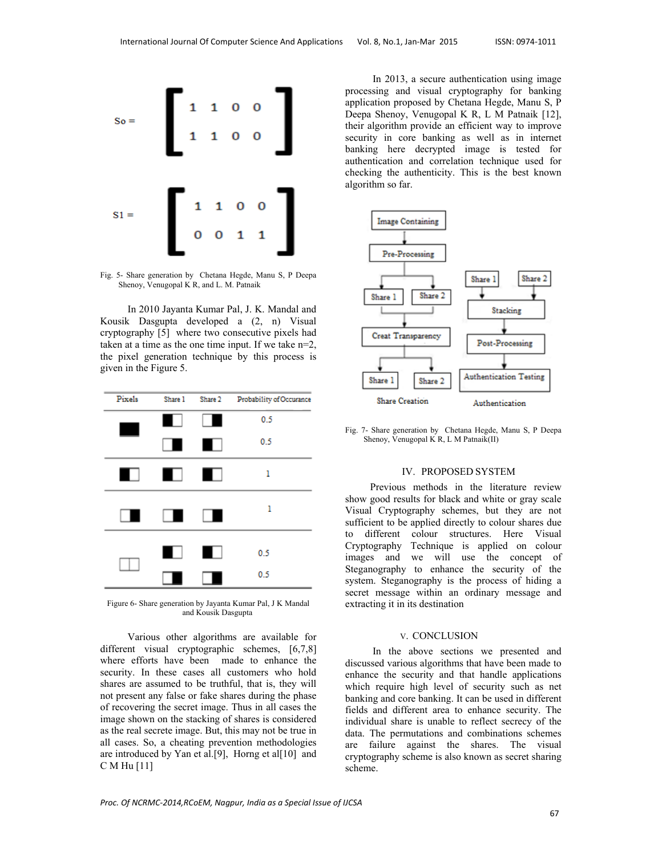

Fig. 5- Share generation by Chetana Hegde, Manu S, P Deepa Shenoy, Venugopal K R, and L. M. Patnaik

 In 2010 Jayanta Kumar Pal, J. K. Mandal and Kousik Dasgupta developed a (2, n) Visual cryptography [5] where two consecutive pixels had taken at a time as the one time input. If we take n=2, the pixel generation technique by this process is given in the Figure 5.



Figure 6- Share generation by Jayanta Kumar Pal, J K Mandal and Kousik Dasgupta

 Various other algorithms are available for different visual cryptographic schemes, [6,7,8] where efforts have been made to enhance the security. In these cases all customers who hold shares are assumed to be truthful, that is, they will not present any false or fake shares during the phase of recovering the secret image. Thus in all cases the image shown on the stacking of shares is considered as the real secrete image. But, this may not be true in all cases. So, a cheating prevention methodologies are introduced by Yan et al.[9], Horng et al[10] and C M Hu [11]

 In 2013, a secure authentication using image processing and visual cryptography for banking application proposed by Chetana Hegde, Manu S, P Deepa Shenoy, Venugopal K R, L M Patnaik [12], their algorithm provide an efficient way to improve security in core banking as well as in internet banking here decrypted image is tested for authentication and correlation technique used for checking the authenticity. This is the best known algorithm so far.



Fig. 7- Share generation by Chetana Hegde, Manu S, P Deepa Shenoy, Venugopal K R, L M Patnaik(II)

### IV. PROPOSED SYSTEM

 Previous methods in the literature review show good results for black and white or gray scale Visual Cryptography schemes, but they are not sufficient to be applied directly to colour shares due to different colour structures. Here Visual Cryptography Technique is applied on colour images and we will use the concept of Steganography to enhance the security of the system. Steganography is the process of hiding a secret message within an ordinary message and extracting it in its destination

#### V. CONCLUSION

 In the above sections we presented and discussed various algorithms that have been made to enhance the security and that handle applications which require high level of security such as net banking and core banking. It can be used in different fields and different area to enhance security. The individual share is unable to reflect secrecy of the data. The permutations and combinations schemes are failure against the shares. The visual cryptography scheme is also known as secret sharing scheme.